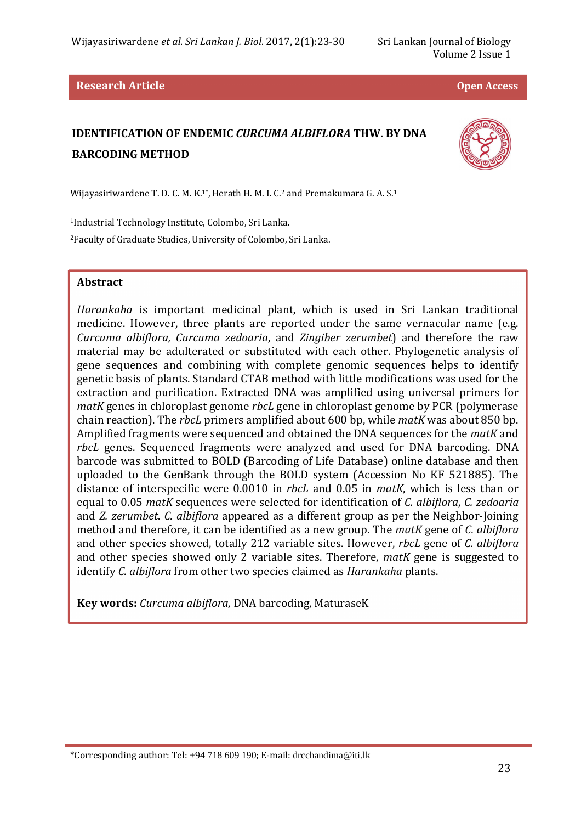#### **Research Article <b>Contract Article Contract Article** *Contract Article**Contract Article <b>Contract Article Open Access*

# **IDENTIFICATION OF ENDEMIC** *CURCUMA ALBIFLORA* **THW. BY DNA BARCODING METHOD**



Wijayasiriwardene T. D. C. M. K.<sup>1\*</sup>, Herath H. M. I. C.<sup>2</sup> and Premakumara G. A. S.<sup>1</sup>

<sup>1</sup>Industrial Technology Institute, Colombo, Sri Lanka. <sup>2</sup>Faculty of Graduate Studies, University of Colombo, Sri Lanka.

### **Abstract**

l

*Harankaha* is important medicinal plant, which is used in Sri Lankan traditional medicine. However, three plants are reported under the same vernacular name (e.g. *Curcuma albiflora, Curcuma zedoaria*, and *Zingiber zerumbet*) and therefore the raw material may be adulterated or substituted with each other. Phylogenetic analysis of gene sequences and combining with complete genomic sequences helps to identify genetic basis of plants. Standard CTAB method with little modifications was used for the extraction and purification. Extracted DNA was amplified using universal primers for *matK* genes in chloroplast genome *rbcL* gene in chloroplast genome by PCR (polymerase chain reaction). The *rbcL* primers amplified about 600 bp, while *matK* was about 850 bp. Amplified fragments were sequenced and obtained the DNA sequences for the *matK* and *rbcL* genes. Sequenced fragments were analyzed and used for DNA barcoding. DNA barcode was submitted to BOLD (Barcoding of Life Database) online database and then uploaded to the GenBank through the BOLD system (Accession No KF 521885). The distance of interspecific were 0.0010 in *rbcL* and 0.05 in *matK*, which is less than or equal to 0.05 *matK* sequences were selected for identification of *C. albiflora*, *C. zedoaria* and *Z. zerumbet*. *C. albiflora* appeared as a different group as per the Neighbor-Joining method and therefore, it can be identified as a new group. The *matK* gene of *C. albiflora* and other species showed, totally 212 variable sites. However, *rbcL* gene of *C. albiflora* and other species showed only 2 variable sites. Therefore, *matK* gene is suggested to identify *C. albiflora* from other two species claimed as *Harankaha* plants.

**Key words:** *Curcuma albiflora,* DNA barcoding, MaturaseK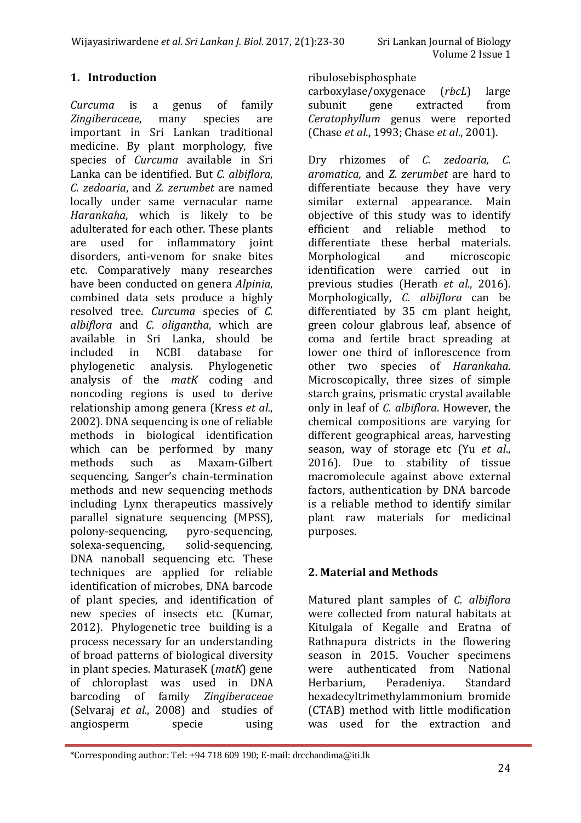# **1. Introduction**

*Curcuma* is a genus of family *Zingiberaceae*, many species are important in Sri Lankan traditional medicine. By plant morphology, five species of *Curcuma* available in Sri Lanka can be identified. But *C. albiflora*, *C. zedoaria*, and *Z. zerumbet* are named locally under same vernacular name *Harankaha*, which is likely to be adulterated for each other. These plants are used for inflammatory joint disorders, anti-venom for snake bites etc. Comparatively many researches have been conducted on genera *Alpinia*, combined data sets produce a highly resolved tree. *Curcuma* species of *C. albiflora* and *C. oligantha*, which are available in Sri Lanka, should be included in NCBI database for phylogenetic analysis. Phylogenetic analysis of the *matK* coding and noncoding regions is used to derive relationship among genera (Kress *et al.*, 2002). DNA sequencing is one of reliable methods in biological identification which can be performed by many methods such as Maxam-Gilbert sequencing, Sanger's chain-termination methods and new sequencing methods including Lynx therapeutics massively parallel signature sequencing (MPSS), polony-sequencing, pyro-sequencing, solexa-sequencing, solid-sequencing, DNA nanoball sequencing etc. These techniques are applied for reliable identification of microbes, DNA barcode of plant species, and identification of new species of insects etc. (Kumar, 2012). Phylogenetic tree building is a process necessary for an understanding of broad patterns of biological diversity in plant species. MaturaseK (*matK*) gene of chloroplast was used in DNA barcoding of family *Zingiberaceae* (Selvaraj *et al.*, 2008) and studies of angiosperm specie using

### ribulosebisphosphate

carboxylase/oxygenace (*rbcL*) large subunit gene extracted from *Ceratophyllum* genus were reported (Chase *et al.*, 1993; Chase *et al*., 2001).

Dry rhizomes of *C. zedoaria, C. aromatica,* and *Z. zerumbet* are hard to differentiate because they have very similar external appearance. Main objective of this study was to identify efficient and reliable method to differentiate these herbal materials. Morphological and microscopic identification were carried out in previous studies (Herath *et al.*, 2016). Morphologically, *C. albiflora* can be differentiated by 35 cm plant height, green colour glabrous leaf, absence of coma and fertile bract spreading at lower one third of inflorescence from other two species of *Harankaha*. Microscopically, three sizes of simple starch grains, prismatic crystal available only in leaf of *C. albiflora*. However, the chemical compositions are varying for different geographical areas, harvesting season, way of storage etc (Yu *et al*., 2016). Due to stability of tissue macromolecule against above external factors, authentication by DNA barcode is a reliable method to identify similar plant raw materials for medicinal purposes.

# **2. Material and Methods**

Matured plant samples of *C. albiflora* were collected from natural habitats at Kitulgala of Kegalle and Eratna of Rathnapura districts in the flowering season in 2015. Voucher specimens were authenticated from National Herbarium, Peradeniya. Standard hexadecyltrimethylammonium bromide (CTAB) method with little modification was used for the extraction and

l

<sup>\*</sup>Corresponding author: Tel: +94 718 609 190; E-mail: drcchandima@iti.lk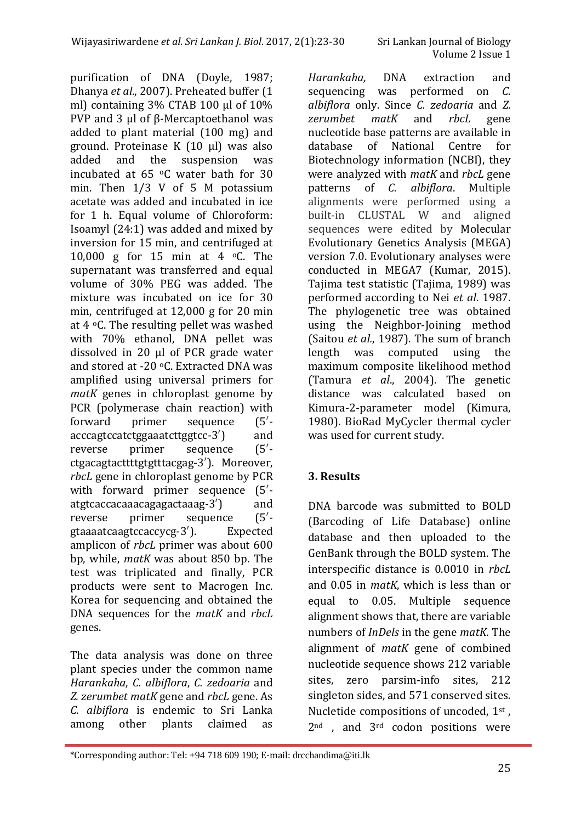purification of DNA (Doyle, 1987; Dhanya *et al*., 2007). Preheated buffer (1 ml) containing 3% CTAB 100 μl of 10% PVP and 3 μl of β-Mercaptoethanol was added to plant material (100 mg) and ground. Proteinase K (10 μl) was also added and the suspension was incubated at 65 oC water bath for 30 min. Then 1/3 V of 5 M potassium acetate was added and incubated in ice for 1 h. Equal volume of Chloroform: Isoamyl (24:1) was added and mixed by inversion for 15 min, and centrifuged at 10,000 g for 15 min at 4 oC. The supernatant was transferred and equal volume of 30% PEG was added. The mixture was incubated on ice for 30 min, centrifuged at 12,000 g for 20 min at 4  $\degree$ C. The resulting pellet was washed with 70% ethanol, DNA pellet was dissolved in 20 μl of PCR grade water and stored at -20 °C. Extracted DNA was amplified using universal primers for *matK* genes in chloroplast genome by PCR (polymerase chain reaction) with forward primer sequence (5′ acccagtccatctggaaatcttggtcc-3′) and reverse primer sequence (5′ ctgacagtacttttgtgtttacgag-3′). Moreover, *rbcL* gene in chloroplast genome by PCR with forward primer sequence  $(5')$ atgtcaccacaaacagagactaaag-3′) and reverse primer sequence (5′ gtaaaatcaagtccaccycg-3′). Expected amplicon of *rbcL* primer was about 600 bp, while, *matK* was about 850 bp. The test was triplicated and finally, PCR products were sent to Macrogen Inc. Korea for sequencing and obtained the DNA sequences for the *matK* and *rbcL* genes.

The data analysis was done on three plant species under the common name *Harankaha*, *C. albiflora*, *C. zedoaria* and *Z. zerumbet matK* gene and *rbcL* gene. As *C. albiflora* is endemic to Sri Lanka among other plants claimed as

l

*Harankaha,* DNA extraction and sequencing was performed on *C. albiflora* only. Since *C. zedoaria* and *Z. zerumbet matK* and *rbcL* gene nucleotide base patterns are available in database of National Centre for Biotechnology information (NCBI), they were analyzed with *matK* and *rbcL* gene patterns of *C. albiflora*. Multiple alignments were performed using a built-in CLUSTAL W and aligned sequences were edited by Molecular Evolutionary Genetics Analysis (MEGA) version 7.0. Evolutionary analyses were conducted in MEGA7 (Kumar, 2015). Tajima test statistic (Tajima, 1989) was performed according to Nei *et al*. 1987. The phylogenetic tree was obtained using the Neighbor-Joining method (Saitou *et al.*, 1987). The sum of branch length was computed using the maximum composite likelihood method (Tamura *et al*., 2004). The genetic distance was calculated based on Kimura-2-parameter model (Kimura, 1980). BioRad MyCycler thermal cycler was used for current study.

# **3. Results**

DNA barcode was submitted to BOLD (Barcoding of Life Database) online database and then uploaded to the GenBank through the BOLD system. The interspecific distance is 0.0010 in *rbcL* and 0.05 in *matK*, which is less than or equal to 0.05. Multiple sequence alignment shows that, there are variable numbers of *InDels* in the gene *matK*. The alignment of *matK* gene of combined nucleotide sequence shows 212 variable sites, zero parsim-info sites, 212 singleton sides, and 571 conserved sites. Nucletide compositions of uncoded, 1<sup>st</sup>, 2<sup>nd</sup>, and 3<sup>rd</sup> codon positions were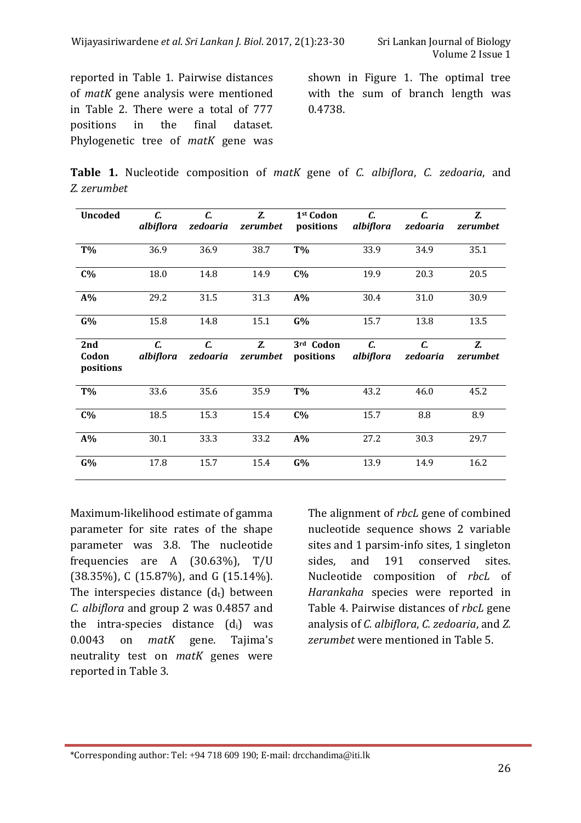reported in Table 1. Pairwise distances of *matK* gene analysis were mentioned in Table 2. There were a total of 777 positions in the final dataset. Phylogenetic tree of *matK* gene was shown in Figure 1. The optimal tree with the sum of branch length was 0.4738.

**Table 1.** Nucleotide composition of *matK* gene of *C. albiflora*, *C. zedoaria*, and *Z. zerumbet*

| <b>Uncoded</b>            | C.<br>albiflora | C.<br>zedoaria | Z.<br>zerumbet | 1 <sup>st</sup> Codon<br>positions | C.<br>albiflora | C.<br>zedoaria | Z.<br>zerumbet |
|---------------------------|-----------------|----------------|----------------|------------------------------------|-----------------|----------------|----------------|
|                           |                 |                |                |                                    |                 |                |                |
| T%                        | 36.9            | 36.9           | 38.7           | T%                                 | 33.9            | 34.9           | 35.1           |
| $C\%$                     | 18.0            | 14.8           | 14.9           | $C\%$                              | 19.9            | 20.3           | 20.5           |
| $A\%$                     | 29.2            | 31.5           | 31.3           | $A\%$                              | 30.4            | 31.0           | 30.9           |
| G%                        | 15.8            | 14.8           | 15.1           | G%                                 | 15.7            | 13.8           | 13.5           |
| 2nd<br>Codon<br>positions | C.<br>albiflora | C.<br>zedoaria | Z.<br>zerumbet | 3rd Codon<br>positions             | C.<br>albiflora | C.<br>zedoaria | Z.<br>zerumbet |
| T%                        | 33.6            | 35.6           | 35.9           | T%                                 | 43.2            | 46.0           | 45.2           |
| $C\%$                     | 18.5            | 15.3           | 15.4           | $C\%$                              | 15.7            | 8.8            | 8.9            |
| $A\%$                     | 30.1            | 33.3           | 33.2           | $A\%$                              | 27.2            | 30.3           | 29.7           |
| G%                        | 17.8            | 15.7           | 15.4           | G%                                 | 13.9            | 14.9           | 16.2           |

Maximum-likelihood estimate of gamma parameter for site rates of the shape parameter was 3.8. The nucleotide frequencies are A (30.63%), T/U (38.35%), C (15.87%), and G (15.14%). The interspecies distance  $(d_t)$  between *C. albiflora* and group 2 was 0.4857 and the intra-species distance  $(d_i)$  was 0.0043 on *matK* gene. Tajima's neutrality test on *matK* genes were reported in Table 3.

l

The alignment of *rbcL* gene of combined nucleotide sequence shows 2 variable sites and 1 parsim-info sites, 1 singleton sides, and 191 conserved sites. Nucleotide composition of *rbcL* of *Harankaha* species were reported in Table 4. Pairwise distances of *rbcL* gene analysis of *C. albiflora*, *C. zedoaria*, and *Z. zerumbet* were mentioned in Table 5.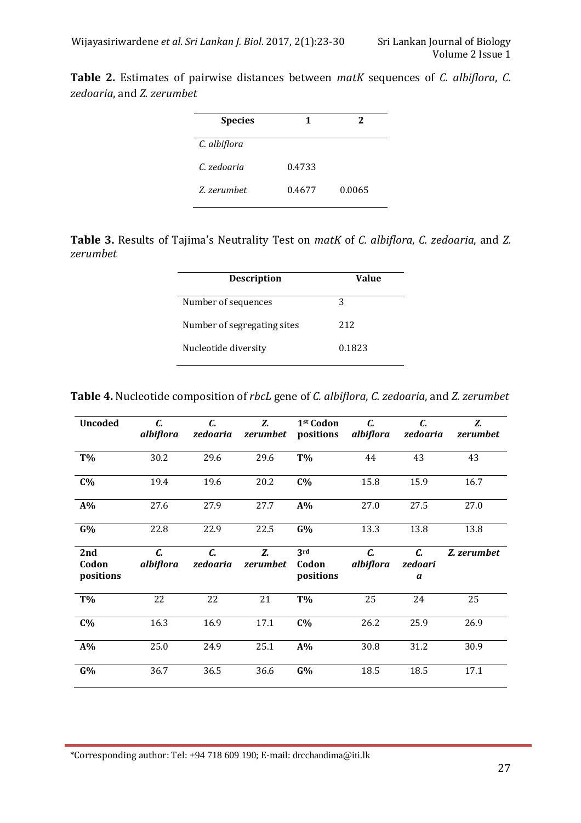**Table 2.** Estimates of pairwise distances between *matK* sequences of *C. albiflora*, *C. zedoaria*, and *Z. zerumbet*

| <b>Species</b> |        | 2      |
|----------------|--------|--------|
| C. albiflora   |        |        |
| C. zedoaria    | 0.4733 |        |
| Z zerumbet     | 0.4677 | 0.0065 |

**Table 3.** Results of Tajima's Neutrality Test on *matK* of *C. albiflora*, *C. zedoaria*, and *Z. zerumbet*

| <b>Description</b>          | Value  |
|-----------------------------|--------|
| Number of sequences         | 3      |
| Number of segregating sites | 212    |
| Nucleotide diversity        | 0.1823 |

| <b>Uncoded</b>            | C.<br>albiflora | $\mathcal{C}$ .<br>zedoaria | Z.<br>zerumbet | 1 <sup>st</sup> Codon<br>positions | C.<br>albiflora | C.<br>zedoaria     | Z.<br>zerumbet |
|---------------------------|-----------------|-----------------------------|----------------|------------------------------------|-----------------|--------------------|----------------|
| <b>T%</b>                 | 30.2            | 29.6                        | 29.6           | T%                                 | 44              | 43                 | 43             |
| $C\%$                     | 19.4            | 19.6                        | 20.2           | $C\%$                              | 15.8            | 15.9               | 16.7           |
| $A\%$                     | 27.6            | 27.9                        | 27.7           | $A\%$                              | 27.0            | 27.5               | 27.0           |
| G%                        | 22.8            | 22.9                        | 22.5           | G%                                 | 13.3            | 13.8               | 13.8           |
| 2nd<br>Codon<br>positions | C.<br>albiflora | C.<br>zedoaria              | Z.<br>zerumbet | 3rd<br>Codon<br>positions          | C.<br>albiflora | C.<br>zedoari<br>a | Z. zerumbet    |
| T%                        | 22              | 22                          | 21             | T%                                 | 25              | 24                 | 25             |
| $C\%$                     | 16.3            | 16.9                        | 17.1           | $C\%$                              | 26.2            | 25.9               | 26.9           |
| $A\%$                     | 25.0            | 24.9                        | 25.1           | $A\%$                              | 30.8            | 31.2               | 30.9           |
| G%                        | 36.7            | 36.5                        | 36.6           | G%                                 | 18.5            | 18.5               | 17.1           |

\*Corresponding author: Tel: +94 718 609 190; E-mail: drcchandima@iti.lk

l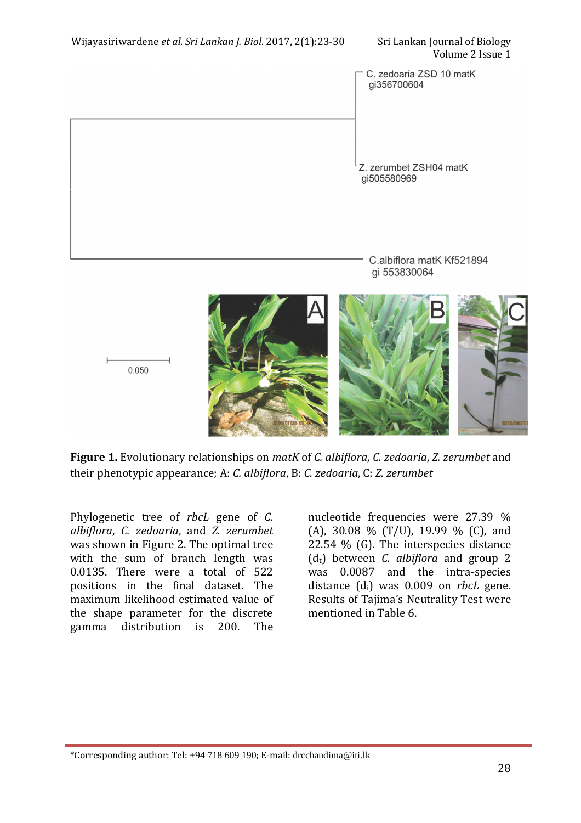Volume 2 Issue 1

C. zedoaria ZSD 10 matK gi356700604

Z. zerumbet ZSH04 matK ai505580969

> C.albiflora matK Kf521894 gi 553830064



**Figure 1.** Evolutionary relationships on *matK* of *C. albiflora*, *C. zedoaria*, *Z. zerumbet* and their phenotypic appearance; A: *C. albiflora*, B: *C. zedoaria*, C: *Z. zerumbet*

Phylogenetic tree of *rbcL* gene of *C. albiflora*, *C. zedoaria*, and *Z. zerumbet* was shown in Figure 2. The optimal tree with the sum of branch length was 0.0135. There were a total of 522 positions in the final dataset. The maximum likelihood estimated value of the shape parameter for the discrete gamma distribution is 200. The

l

nucleotide frequencies were 27.39 % (A), 30.08 % (T/U), 19.99 % (C), and 22.54 % (G). The interspecies distance (dt) between *C. albiflora* and group 2 was 0.0087 and the intra-species distance (di) was 0.009 on *rbcL* gene. Results of Tajima's Neutrality Test were mentioned in Table 6.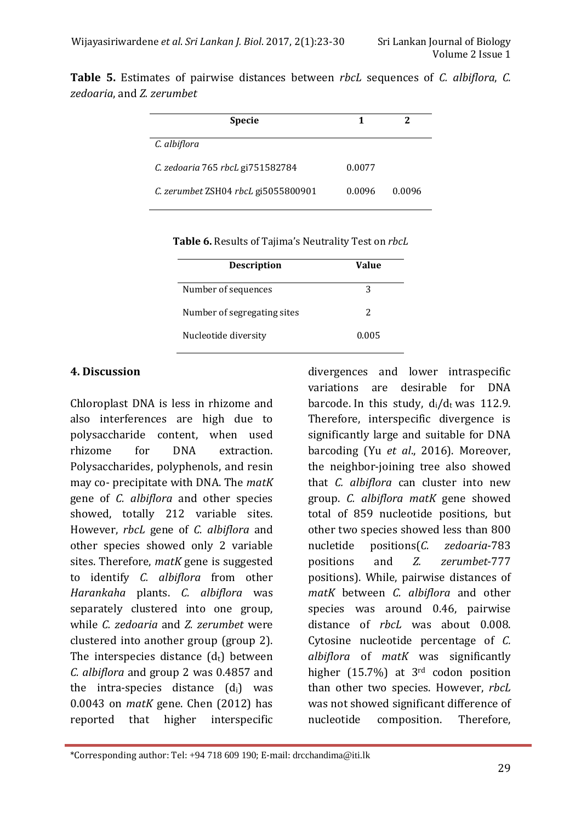|                           | <b>Table 5.</b> Estimates of pairwise distances between <i>rbcL</i> sequences of C. albiflora, C. |  |  |  |  |
|---------------------------|---------------------------------------------------------------------------------------------------|--|--|--|--|
| zedoaria, and Z. zerumbet |                                                                                                   |  |  |  |  |

| <b>Specie</b>                       |        |        |
|-------------------------------------|--------|--------|
| C. albiflora                        |        |        |
| C. zedoaria 765 rbcL gi751582784    | 0.0077 |        |
| C. zerumbet ZSH04 rbcL gi5055800901 | 0.0096 | 0.0096 |

**Table 6.** Results of Tajima's Neutrality Test on *rbcL*

| <b>Description</b>          | Value |
|-----------------------------|-------|
| Number of sequences         | 3     |
| Number of segregating sites | 2     |
| Nucleotide diversity        | 0.005 |

### **4. Discussion**

l

Chloroplast DNA is less in rhizome and also interferences are high due to polysaccharide content, when used rhizome for DNA extraction. Polysaccharides, polyphenols, and resin may co- precipitate with DNA. The *matK* gene of *C. albiflora* and other species showed, totally 212 variable sites. However, *rbcL* gene of *C. albiflora* and other species showed only 2 variable sites. Therefore, *matK* gene is suggested to identify *C. albiflora* from other *Harankaha* plants. *C. albiflora* was separately clustered into one group, while *C. zedoaria* and *Z. zerumbet* were clustered into another group (group 2). The interspecies distance  $(d_t)$  between *C. albiflora* and group 2 was 0.4857 and the intra-species distance  $(d_i)$  was 0.0043 on *matK* gene. Chen (2012) has reported that higher interspecific

divergences and lower intraspecific variations are desirable for DNA barcode. In this study,  $d_i/d_t$  was 112.9. Therefore, interspecific divergence is significantly large and suitable for DNA barcoding (Yu *et al*., 2016). Moreover, the neighbor-joining tree also showed that *C. albiflora* can cluster into new group. *C. albiflora matK* gene showed total of 859 nucleotide positions, but other two species showed less than 800 nucletide positions(*C. zedoaria*-783 positions and *Z. zerumbet*-777 positions). While, pairwise distances of *matK* between *C. albiflora* and other species was around 0.46, pairwise distance of *rbcL* was about 0.008. Cytosine nucleotide percentage of *C. albiflora* of *matK* was significantly higher (15.7%) at 3rd codon position than other two species. However, *rbcL*  was not showed significant difference of nucleotide composition. Therefore,

<sup>\*</sup>Corresponding author: Tel: +94 718 609 190; E-mail: drcchandima@iti.lk